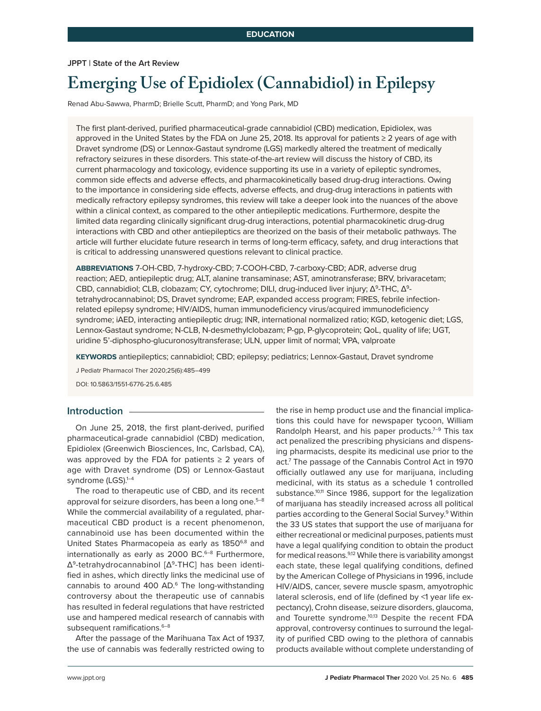**JPPT | State of the Art Review**

# **Emerging Use of Epidiolex (Cannabidiol) in Epilepsy**

Renad Abu-Sawwa, PharmD; Brielle Scutt, PharmD; and Yong Park, MD

The first plant-derived, purified pharmaceutical-grade cannabidiol (CBD) medication, Epidiolex, was approved in the United States by the FDA on June 25, 2018. Its approval for patients ≥ 2 years of age with Dravet syndrome (DS) or Lennox-Gastaut syndrome (LGS) markedly altered the treatment of medically refractory seizures in these disorders. This state-of-the-art review will discuss the history of CBD, its current pharmacology and toxicology, evidence supporting its use in a variety of epileptic syndromes, common side effects and adverse effects, and pharmacokinetically based drug-drug interactions. Owing to the importance in considering side effects, adverse effects, and drug-drug interactions in patients with medically refractory epilepsy syndromes, this review will take a deeper look into the nuances of the above within a clinical context, as compared to the other antiepileptic medications. Furthermore, despite the limited data regarding clinically significant drug-drug interactions, potential pharmacokinetic drug-drug interactions with CBD and other antiepileptics are theorized on the basis of their metabolic pathways. The article will further elucidate future research in terms of long-term efficacy, safety, and drug interactions that is critical to addressing unanswered questions relevant to clinical practice.

**ABBREVIATIONS** 7-OH-CBD, 7-hydroxy-CBD; 7-COOH-CBD, 7-carboxy-CBD; ADR, adverse drug reaction; AED, antiepileptic drug; ALT, alanine transaminase; AST, aminotransferase; BRV, brivaracetam; CBD, cannabidiol; CLB, clobazam; CY, cytochrome; DILI, drug-induced liver injury; Δ<sup>9</sup>-THC, Δ<sup>9</sup>tetrahydrocannabinol; DS, Dravet syndrome; EAP, expanded access program; FIRES, febrile infectionrelated epilepsy syndrome; HIV/AIDS, human immunodeficiency virus/acquired immunodeficiency syndrome; iAED, interacting antiepileptic drug; INR, international normalized ratio; KGD, ketogenic diet; LGS, Lennox-Gastaut syndrome; N-CLB, N-desmethylclobazam; P-gp, P-glycoprotein; QoL, quality of life; UGT, uridine 5'-diphospho-glucuronosyltransferase; ULN, upper limit of normal; VPA, valproate

**KEYWORDS** antiepileptics; cannabidiol; CBD; epilepsy; pediatrics; Lennox-Gastaut, Dravet syndrome

J Pediatr Pharmacol Ther 2020;25(6):485–499 DOI: 10.5863/1551-6776-25.6.485

#### **Introduction**

On June 25, 2018, the first plant-derived, purified pharmaceutical-grade cannabidiol (CBD) medication, Epidiolex (Greenwich Biosciences, Inc, Carlsbad, CA), was approved by the FDA for patients  $\geq 2$  years of age with Dravet syndrome (DS) or Lennox-Gastaut syndrome (LGS).<sup>1-4</sup>

The road to therapeutic use of CBD, and its recent approval for seizure disorders, has been a long one.<sup>5-8</sup> While the commercial availability of a regulated, pharmaceutical CBD product is a recent phenomenon, cannabinoid use has been documented within the United States Pharmacopeia as early as 1850<sup>6,8</sup> and internationally as early as  $2000$  BC.<sup>6–8</sup> Furthermore, Δ9-tetrahydrocannabinol [Δ9-THC] has been identified in ashes, which directly links the medicinal use of cannabis to around 400 AD.6 The long-withstanding controversy about the therapeutic use of cannabis has resulted in federal regulations that have restricted use and hampered medical research of cannabis with subsequent ramifications.<sup>6-8</sup>

After the passage of the Marihuana Tax Act of 1937, the use of cannabis was federally restricted owing to the rise in hemp product use and the financial implications this could have for newspaper tycoon, William Randolph Hearst, and his paper products.<sup>7-9</sup> This tax act penalized the prescribing physicians and dispensing pharmacists, despite its medicinal use prior to the act.7 The passage of the Cannabis Control Act in 1970 officially outlawed any use for marijuana, including medicinal, with its status as a schedule 1 controlled substance.<sup>10,11</sup> Since 1986, support for the legalization of marijuana has steadily increased across all political parties according to the General Social Survey.<sup>9</sup> Within the 33 US states that support the use of marijuana for either recreational or medicinal purposes, patients must have a legal qualifying condition to obtain the product for medical reasons.<sup>9,12</sup> While there is variability amongst each state, these legal qualifying conditions, defined by the American College of Physicians in 1996, include HIV/AIDS, cancer, severe muscle spasm, amyotrophic lateral sclerosis, end of life (defined by <1 year life expectancy), Crohn disease, seizure disorders, glaucoma, and Tourette syndrome.<sup>10,13</sup> Despite the recent FDA approval, controversy continues to surround the legality of purified CBD owing to the plethora of cannabis products available without complete understanding of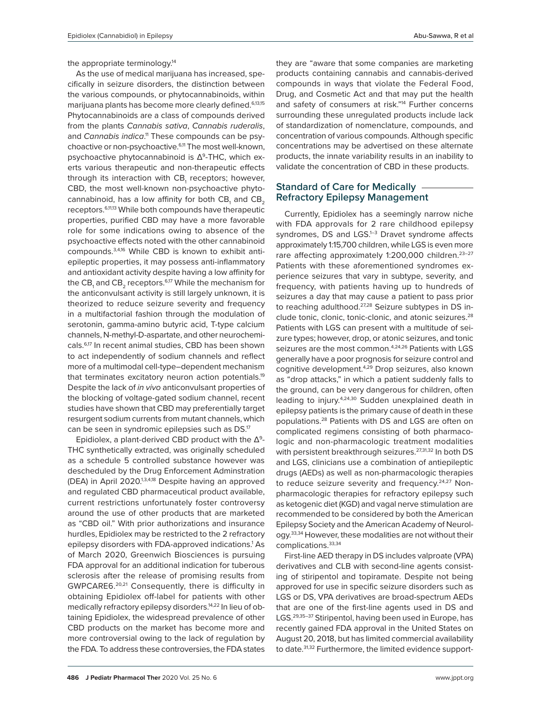the appropriate terminology.<sup>14</sup>

As the use of medical marijuana has increased, specifically in seizure disorders, the distinction between the various compounds, or phytocannabinoids, within marijuana plants has become more clearly defined.<sup>6,13,15</sup> Phytocannabinoids are a class of compounds derived from the plants *Cannabis sativa*, *Cannabis ruderalis*, and Cannabis indica.<sup>11</sup> These compounds can be psychoactive or non-psychoactive.6,11 The most well-known, psychoactive phytocannabinoid is  $\Delta^9$ -THC, which exerts various therapeutic and non-therapeutic effects through its interaction with CB<sub>1</sub> receptors; however, CBD, the most well-known non-psychoactive phytocannabinoid, has a low affinity for both  $\texttt{CB}\xspace_{\scriptscriptstyle{1}}$  and  $\texttt{CB}\xspace_{\scriptscriptstyle{2}}$ receptors.6,11,13 While both compounds have therapeutic properties, purified CBD may have a more favorable role for some indications owing to absence of the psychoactive effects noted with the other cannabinoid compounds.3,4,16 While CBD is known to exhibit antiepileptic properties, it may possess anti-inflammatory and antioxidant activity despite having a low affinity for the CB<sub>1</sub> and CB<sub>2</sub> receptors. $^{6,17}$  While the mechanism for the anticonvulsant activity is still largely unknown, it is theorized to reduce seizure severity and frequency in a multifactorial fashion through the modulation of serotonin, gamma-amino butyric acid, T-type calcium channels, N-methyl-D-aspartate, and other neurochemicals.6,17 In recent animal studies, CBD has been shown to act independently of sodium channels and reflect more of a multimodal cell-type–dependent mechanism that terminates excitatory neuron action potentials.19 Despite the lack of *in vivo* anticonvulsant properties of the blocking of voltage-gated sodium channel, recent studies have shown that CBD may preferentially target resurgent sodium currents from mutant channels, which can be seen in syndromic epilepsies such as DS.<sup>17</sup>

Epidiolex, a plant-derived CBD product with the  $\Delta^9$ -THC synthetically extracted, was originally scheduled as a schedule 5 controlled substance however was descheduled by the Drug Enforcement Adminstration (DEA) in April 2020.<sup>1,3,4,18</sup> Despite having an approved and regulated CBD pharmaceutical product available, current restrictions unfortunately foster controversy around the use of other products that are marketed as "CBD oil." With prior authorizations and insurance hurdles, Epidiolex may be restricted to the 2 refractory epilepsy disorders with FDA-approved indications.<sup>1</sup> As of March 2020, Greenwich Biosciences is pursuing FDA approval for an additional indication for tuberous sclerosis after the release of promising results from GWPCARE6.20,21 Consequently, there is difficulty in obtaining Epidiolex off-label for patients with other medically refractory epilepsy disorders.14,22 In lieu of obtaining Epidiolex, the widespread prevalence of other CBD products on the market has become more and more controversial owing to the lack of regulation by the FDA. To address these controversies, the FDA states

they are "aware that some companies are marketing products containing cannabis and cannabis-derived compounds in ways that violate the Federal Food, Drug, and Cosmetic Act and that may put the health and safety of consumers at risk."<sup>14</sup> Further concerns surrounding these unregulated products include lack of standardization of nomenclature, compounds, and concentration of various compounds. Although specific concentrations may be advertised on these alternate products, the innate variability results in an inability to validate the concentration of CBD in these products.

#### **Standard of Care for Medically Refractory Epilepsy Management**

Currently, Epidiolex has a seemingly narrow niche with FDA approvals for 2 rare childhood epilepsy syndromes, DS and LGS.<sup>1-3</sup> Dravet syndrome affects approximately 1:15,700 children, while LGS is even more rare affecting approximately 1:200,000 children.<sup>23-27</sup> Patients with these aforementioned syndromes experience seizures that vary in subtype, severity, and frequency, with patients having up to hundreds of seizures a day that may cause a patient to pass prior to reaching adulthood.<sup>27,28</sup> Seizure subtypes in DS include tonic, clonic, tonic-clonic, and atonic seizures.<sup>28</sup> Patients with LGS can present with a multitude of seizure types; however, drop, or atonic seizures, and tonic seizures are the most common.<sup>4,24,26</sup> Patients with LGS generally have a poor prognosis for seizure control and cognitive development.4,29 Drop seizures, also known as "drop attacks," in which a patient suddenly falls to the ground, can be very dangerous for children, often leading to injury.4,24,30 Sudden unexplained death in epilepsy patients is the primary cause of death in these populations.28 Patients with DS and LGS are often on complicated regimens consisting of both pharmacologic and non-pharmacologic treatment modalities with persistent breakthrough seizures.<sup>27,31,32</sup> In both DS and LGS, clinicians use a combination of antiepileptic drugs (AEDs) as well as non-pharmacologic therapies to reduce seizure severity and frequency.<sup>24,27</sup> Nonpharmacologic therapies for refractory epilepsy such as ketogenic diet (KGD) and vagal nerve stimulation are recommended to be considered by both the American Epilepsy Society and the American Academy of Neurology.<sup>33,34</sup> However, these modalities are not without their complications.33,34

First-line AED therapy in DS includes valproate (VPA) derivatives and CLB with second-line agents consisting of stiripentol and topiramate. Despite not being approved for use in specific seizure disorders such as LGS or DS, VPA derivatives are broad-spectrum AEDs that are one of the first-line agents used in DS and LGS.<sup>29,35-37</sup> Stiripentol, having been used in Europe, has recently gained FDA approval in the United States on August 20, 2018, but has limited commercial availability to date.<sup>31,32</sup> Furthermore, the limited evidence support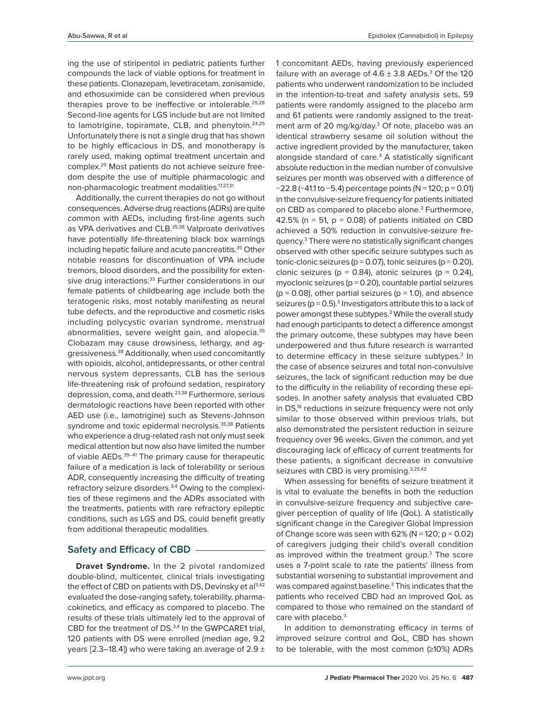ing the use of stiripentol in pediatric patients further compounds the lack of viable options for treatment in these patients. Clonazepam, levetiracetam, zonisamide, and ethosuximide can be considered when previous therapies prove to be ineffective or intolerable. $25,28$ Second-line agents for LGS include but are not limited to lamotrigine, topiramate, CLB, and phenytoin.<sup>24,25</sup> Unfortunately there is not a single drug that has shown to be highly efficacious in DS, and monotherapy is rarely used, making optimal treatment uncertain and complex.29 Most patients do not achieve seizure freedom despite the use of multiple pharmacologic and non-pharmacologic treatment modalities.17,27,31

Additionally, the current therapies do not go without consequences. Adverse drug reactions (ADRs) are quite common with AEDs, including first-line agents such as VPA derivatives and CLB.<sup>35,38</sup> Valproate derivatives have potentially life-threatening black box warnings including hepatic failure and acute pancreatitis.35 Other notable reasons for discontinuation of VPA include tremors, blood disorders, and the possibility for extensive drug interactions.<sup>33</sup> Further considerations in our female patients of childbearing age include both the teratogenic risks, most notably manifesting as neural tube defects, and the reproductive and cosmetic risks including polycystic ovarian syndrome, menstrual abnormalities, severe weight gain, and alopecia.35 Clobazam may cause drowsiness, lethargy, and aggressiveness.38 Additionally, when used concomitantly with opioids, alcohol, antidepressants, or other central nervous system depressants, CLB has the serious life-threatening risk of profound sedation, respiratory depression, coma, and death.23,38 Furthermore, serious dermatologic reactions have been reported with other AED use (i.e., lamotrigine) such as Stevens-Johnson syndrome and toxic epidermal necrolysis.<sup>35,38</sup> Patients who experience a drug-related rash not only must seek medical attention but now also have limited the number of viable AEDs.<sup>39-41</sup> The primary cause for therapeutic failure of a medication is lack of tolerability or serious ADR, consequently increasing the difficulty of treating refractory seizure disorders.3,4 Owing to the complexities of these regimens and the ADRs associated with the treatments, patients with rare refractory epileptic conditions, such as LGS and DS, could benefit greatly from additional therapeutic modalities.

# **Safety and Efficacy of CBD**

**Dravet Syndrome.** In the 2 pivotal randomized double-blind, multicenter, clinical trials investigating the effect of CBD on patients with DS, Devinsky et al<sup>3,42</sup> evaluated the dose-ranging safety, tolerability, pharmacokinetics, and efficacy as compared to placebo. The results of these trials ultimately led to the approval of CBD for the treatment of DS.<sup>3,4</sup> In the GWPCARE1 trial, 120 patients with DS were enrolled (median age, 9.2 years [2.3–18.4]) who were taking an average of  $2.9 \pm$  1 concomitant AEDs, having previously experienced failure with an average of  $4.6 \pm 3.8$  AEDs. $^3$  Of the 120 patients who underwent randomization to be included in the intention-to-treat and safety analysis sets, 59 patients were randomly assigned to the placebo arm and 61 patients were randomly assigned to the treatment arm of 20 mg/kg/day.<sup>3</sup> Of note, placebo was an identical strawberry sesame oil solution without the active ingredient provided by the manufacturer, taken alongside standard of care.<sup>3</sup> A statistically significant absolute reduction in the median number of convulsive seizures per month was observed with a difference of −22.8 (−41.1 to −5.4) percentage points (N = 120; p = 0.01) in the convulsive-seizure frequency for patients initiated on CBD as compared to placebo alone.<sup>3</sup> Furthermore, 42.5% ( $n = 51$ ,  $p = 0.08$ ) of patients initiated on CBD achieved a 50% reduction in convulsive-seizure frequency.3 There were no statistically significant changes observed with other specific seizure subtypes such as tonic-clonic seizures ( $p = 0.07$ ), tonic seizures ( $p = 0.20$ ), clonic seizures ( $p = 0.84$ ), atonic seizures ( $p = 0.24$ ), myoclonic seizures ( $p = 0.20$ ), countable partial seizures  $(p = 0.08)$ , other partial seizures  $(p = 1.0)$ , and absence seizures ( $p = 0.5$ ).<sup>3</sup> Investigators attribute this to a lack of power amongst these subtypes.<sup>3</sup> While the overall study had enough participants to detect a difference amongst the primary outcome, these subtypes may have been underpowered and thus future research is warranted to determine efficacy in these seizure subtypes.<sup>3</sup> In the case of absence seizures and total non-convulsive seizures, the lack of significant reduction may be due to the difficulty in the reliability of recording these episodes. In another safety analysis that evaluated CBD in DS,<sup>16</sup> reductions in seizure frequency were not only similar to those observed within previous trials, but also demonstrated the persistent reduction in seizure frequency over 96 weeks. Given the common, and yet discouraging lack of efficacy of current treatments for these patients, a significant decrease in convulsive seizures with CBD is very promising.<sup>3,25,42</sup>

When assessing for benefits of seizure treatment it is vital to evaluate the benefits in both the reduction in convulsive-seizure frequency and subjective caregiver perception of quality of life (QoL). A statistically significant change in the Caregiver Global Impression of Change score was seen with  $62\%$  (N = 120; p = 0.02) of caregivers judging their child's overall condition as improved within the treatment group.<sup>3</sup> The score uses a 7-point scale to rate the patients' illness from substantial worsening to substantial improvement and was compared against baseline.<sup>3</sup> This indicates that the patients who received CBD had an improved QoL as compared to those who remained on the standard of care with placebo.<sup>3</sup>

In addition to demonstrating efficacy in terms of improved seizure control and QoL, CBD has shown to be tolerable, with the most common (≥10%) ADRs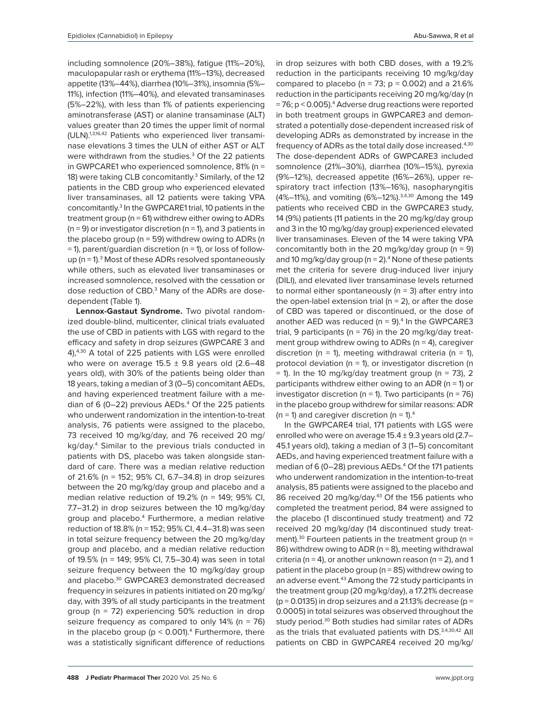including somnolence (20%–38%), fatigue (11%–20%), maculopapular rash or erythema (11%–13%), decreased appetite (13%–44%), diarrhea (10%–31%), insomnia (5%– 11%), infection (11%–40%), and elevated transaminases (5%–22%), with less than 1% of patients experiencing aminotransferase (AST) or alanine transaminase (ALT) values greater than 20 times the upper limit of normal (ULN).1,3,16,42 Patients who experienced liver transaminase elevations 3 times the ULN of either AST or ALT were withdrawn from the studies.<sup>3</sup> Of the 22 patients in GWPCARE1 who experienced somnolence, 81% (n = 18) were taking CLB concomitantly.<sup>3</sup> Similarly, of the 12 patients in the CBD group who experienced elevated liver transaminases, all 12 patients were taking VPA concomitantly.3 In the GWPCARE1 trial, 10 patients in the treatment group (n = 61) withdrew either owing to ADRs  $(n = 9)$  or investigator discretion  $(n = 1)$ , and 3 patients in the placebo group ( $n = 59$ ) withdrew owing to ADRs (n  $=$  1), parent/guardian discretion (n  $=$  1), or loss of followup ( $n = 1$ ).<sup>3</sup> Most of these ADRs resolved spontaneously while others, such as elevated liver transaminases or increased somnolence, resolved with the cessation or dose reduction of CBD.<sup>3</sup> Many of the ADRs are dosedependent (Table 1).

**Lennox-Gastaut Syndrome.** Two pivotal randomized double-blind, multicenter, clinical trials evaluated the use of CBD in patients with LGS with regard to the efficacy and safety in drop seizures (GWPCARE 3 and 4),4,30 A total of 225 patients with LGS were enrolled who were on average  $15.5 \pm 9.8$  years old (2.6-48) years old), with 30% of the patients being older than 18 years, taking a median of 3 (0–5) concomitant AEDs, and having experienced treatment failure with a median of 6 (0 $-22$ ) previous AEDs.<sup>4</sup> Of the 225 patients who underwent randomization in the intention-to-treat analysis, 76 patients were assigned to the placebo, 73 received 10 mg/kg/day, and 76 received 20 mg/ kg/day.4 Similar to the previous trials conducted in patients with DS, placebo was taken alongside standard of care. There was a median relative reduction of 21.6% (n = 152; 95% CI, 6.7–34.8) in drop seizures between the 20 mg/kg/day group and placebo and a median relative reduction of 19.2% (n = 149; 95% CI, 7.7–31.2) in drop seizures between the 10 mg/kg/day group and placebo.<sup>4</sup> Furthermore, a median relative reduction of 18.8% (n = 152; 95% CI, 4.4–31.8) was seen in total seizure frequency between the 20 mg/kg/day group and placebo, and a median relative reduction of 19.5% (n = 149; 95% CI, 7.5–30.4) was seen in total seizure frequency between the 10 mg/kg/day group and placebo.30 GWPCARE3 demonstrated decreased frequency in seizures in patients initiated on 20 mg/kg/ day, with 39% of all study participants in the treatment group (n = 72) experiencing 50% reduction in drop seizure frequency as compared to only  $14\%$  (n = 76) in the placebo group ( $p < 0.001$ ).<sup>4</sup> Furthermore, there was a statistically significant difference of reductions

in drop seizures with both CBD doses, with a 19.2% reduction in the participants receiving 10 mg/kg/day compared to placebo ( $n = 73$ ;  $p = 0.002$ ) and a 21.6% reduction in the participants receiving 20 mg/kg/day (n = 76; p < 0.005).4 Adverse drug reactions were reported in both treatment groups in GWPCARE3 and demonstrated a potentially dose-dependent increased risk of developing ADRs as demonstrated by increase in the frequency of ADRs as the total daily dose increased.<sup>4,30</sup> The dose-dependent ADRs of GWPCARE3 included somnolence (21%–30%), diarrhea (10%–15%), pyrexia (9%–12%), decreased appetite (16%–26%), upper respiratory tract infection (13%–16%), nasopharyngitis (4%–11%), and vomiting (6%–12%).<sup>3,4,30</sup> Among the 149 patients who received CBD in the GWPCARE3 study, 14 (9%) patients (11 patients in the 20 mg/kg/day group and 3 in the 10 mg/kg/day group) experienced elevated liver transaminases. Eleven of the 14 were taking VPA concomitantly both in the 20 mg/kg/day group ( $n = 9$ ) and 10 mg/kg/day group ( $n = 2$ ).<sup>4</sup> None of these patients met the criteria for severe drug-induced liver injury (DILI), and elevated liver transaminase levels returned to normal either spontaneously ( $n = 3$ ) after entry into the open-label extension trial ( $n = 2$ ), or after the dose of CBD was tapered or discontinued, or the dose of another AED was reduced  $(n = 9)^4$  In the GWPCARE3 trial, 9 participants ( $n = 76$ ) in the 20 mg/kg/day treatment group withdrew owing to ADRs ( $n = 4$ ), caregiver discretion ( $n = 1$ ), meeting withdrawal criteria ( $n = 1$ ), protocol deviation ( $n = 1$ ), or investigator discretion (n  $=$  1). In the 10 mg/kg/day treatment group (n  $=$  73), 2 participants withdrew either owing to an ADR ( $n = 1$ ) or investigator discretion (n = 1). Two participants (n = 76) in the placebo group withdrew for similar reasons: ADR ( $n = 1$ ) and caregiver discretion ( $n = 1$ ).<sup>4</sup>

In the GWPCARE4 trial, 171 patients with LGS were enrolled who were on average  $15.4 \pm 9.3$  years old (2.7– 45.1 years old), taking a median of 3 (1–5) concomitant AEDs, and having experienced treatment failure with a median of 6 (0–28) previous AEDs.<sup>4</sup> Of the 171 patients who underwent randomization in the intention-to-treat analysis, 85 patients were assigned to the placebo and 86 received 20 mg/kg/day.<sup>43</sup> Of the 156 patients who completed the treatment period, 84 were assigned to the placebo (1 discontinued study treatment) and 72 received 20 mg/kg/day (14 discontinued study treatment).<sup>30</sup> Fourteen patients in the treatment group ( $n =$ 86) withdrew owing to ADR ( $n = 8$ ), meeting withdrawal criteria ( $n = 4$ ), or another unknown reason ( $n = 2$ ), and 1 patient in the placebo group ( $n = 85$ ) withdrew owing to an adverse event.<sup>43</sup> Among the 72 study participants in the treatment group (20 mg/kg/day), a 17.21% decrease  $(p = 0.0135)$  in drop seizures and a 21.13% decrease  $(p = 1.0135)$ 0.0005) in total seizures was observed throughout the study period.<sup>30</sup> Both studies had similar rates of ADRs as the trials that evaluated patients with DS. 3,4,30,42 All patients on CBD in GWPCARE4 received 20 mg/kg/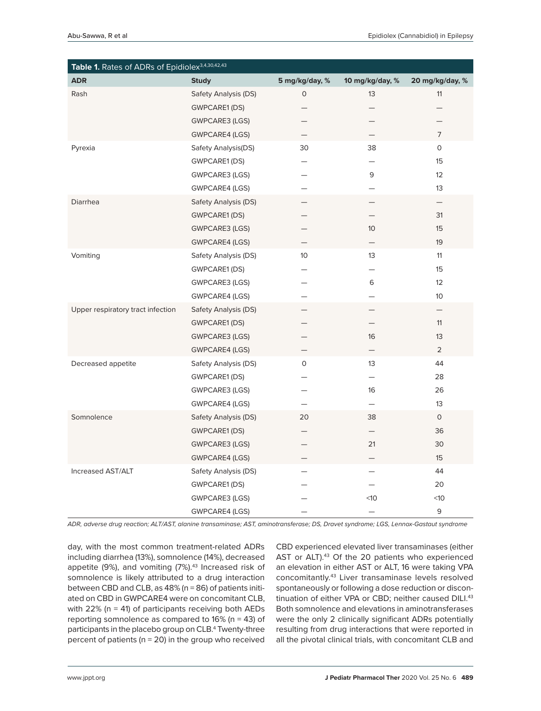| Table 1. Rates of ADRs of Epidiolex <sup>3,4,30,42,43</sup> |                       |                |                          |                   |
|-------------------------------------------------------------|-----------------------|----------------|--------------------------|-------------------|
| <b>ADR</b>                                                  | <b>Study</b>          | 5 mg/kg/day, % | 10 mg/kg/day, %          | 20 mg/kg/day, %   |
| Rash                                                        | Safety Analysis (DS)  | $\circ$        | 13                       | 11                |
|                                                             | <b>GWPCARE1 (DS)</b>  |                |                          |                   |
|                                                             | GWPCARE3 (LGS)        |                |                          |                   |
|                                                             | <b>GWPCARE4 (LGS)</b> | —              |                          | 7                 |
| Pyrexia                                                     | Safety Analysis(DS)   | 30             | 38                       | 0                 |
|                                                             | GWPCARE1 (DS)         |                | $\qquad \qquad -$        | 15                |
|                                                             | GWPCARE3 (LGS)        |                | 9                        | 12                |
|                                                             | GWPCARE4 (LGS)        |                |                          | 13                |
| Diarrhea                                                    | Safety Analysis (DS)  |                | $\overline{\phantom{0}}$ | $\qquad \qquad -$ |
|                                                             | GWPCARE1 (DS)         |                |                          | 31                |
|                                                             | <b>GWPCARE3 (LGS)</b> |                | 10 <sup>°</sup>          | 15                |
|                                                             | GWPCARE4 (LGS)        |                |                          | 19                |
| Vomiting                                                    | Safety Analysis (DS)  | 10             | 13                       | 11                |
|                                                             | GWPCARE1 (DS)         |                | $\overline{\phantom{0}}$ | 15                |
|                                                             | GWPCARE3 (LGS)        |                | 6                        | 12                |
|                                                             | GWPCARE4 (LGS)        |                |                          | 10 <sup>°</sup>   |
| Upper respiratory tract infection                           | Safety Analysis (DS)  |                |                          |                   |
|                                                             | GWPCARE1 (DS)         |                |                          | 11                |
|                                                             | <b>GWPCARE3 (LGS)</b> |                | 16                       | 13                |
|                                                             | <b>GWPCARE4 (LGS)</b> |                |                          | 2                 |
| Decreased appetite                                          | Safety Analysis (DS)  | 0              | 13                       | 44                |
|                                                             | GWPCARE1 (DS)         |                | —                        | 28                |
|                                                             | GWPCARE3 (LGS)        |                | 16                       | 26                |
|                                                             | GWPCARE4 (LGS)        | $\equiv$       | $\overline{\phantom{0}}$ | 13                |
| Somnolence                                                  | Safety Analysis (DS)  | 20             | 38                       | $\circ$           |
|                                                             | <b>GWPCARE1 (DS)</b>  |                | $\qquad \qquad -$        | 36                |
|                                                             | GWPCARE3 (LGS)        |                | 21                       | 30                |
|                                                             | GWPCARE4 (LGS)        |                |                          | 15                |
| Increased AST/ALT                                           | Safety Analysis (DS)  |                |                          | 44                |
|                                                             | GWPCARE1 (DS)         |                |                          | 20                |
|                                                             | GWPCARE3 (LGS)        |                | $<$ 10                   | $<$ 10            |
|                                                             | <b>GWPCARE4 (LGS)</b> |                |                          | 9                 |

*ADR, adverse drug reaction; ALT/AST, alanine transaminase; AST, aminotransferase; DS, Dravet syndrome; LGS, Lennox-Gastaut syndrome*

day, with the most common treatment-related ADRs including diarrhea (13%), somnolence (14%), decreased appetite (9%), and vomiting (7%).<sup>43</sup> Increased risk of somnolence is likely attributed to a drug interaction between CBD and CLB, as 48% (n = 86) of patients initiated on CBD in GWPCARE4 were on concomitant CLB, with 22% ( $n = 41$ ) of participants receiving both AEDs reporting somnolence as compared to 16% (n = 43) of participants in the placebo group on CLB.4 Twenty-three percent of patients ( $n = 20$ ) in the group who received

CBD experienced elevated liver transaminases (either AST or ALT).<sup>43</sup> Of the 20 patients who experienced an elevation in either AST or ALT, 16 were taking VPA concomitantly.43 Liver transaminase levels resolved spontaneously or following a dose reduction or discontinuation of either VPA or CBD; neither caused DILI.<sup>43</sup> Both somnolence and elevations in aminotransferases were the only 2 clinically significant ADRs potentially resulting from drug interactions that were reported in all the pivotal clinical trials, with concomitant CLB and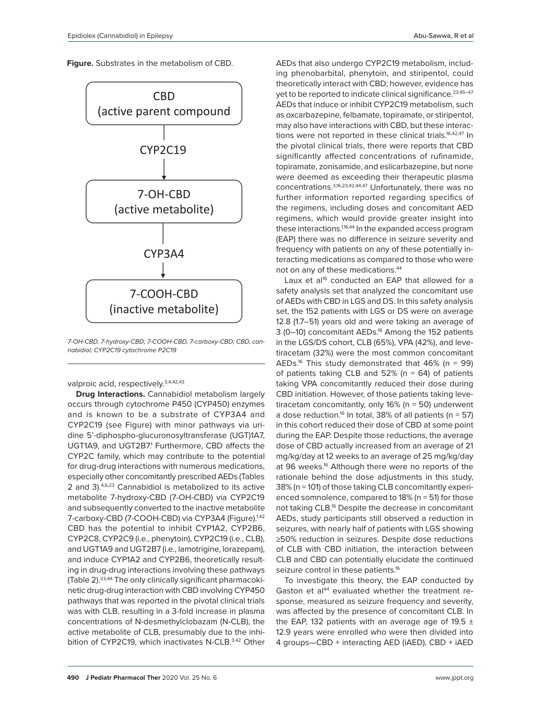**Figure.** Substrates in the metabolism of CBD.



*7-OH-CBD, 7-hydroxy-CBD; 7-COOH-CBD, 7-carboxy-CBD; CBD, cannabidiol; CYP2C19 cytochrome P2C19*

valproic acid, respectively.<sup>3,4,42,43</sup>

**Drug Interactions.** Cannabidiol metabolism largely occurs through cytochrome P450 (CYP450) enzymes and is known to be a substrate of CYP3A4 and CYP2C19 (see Figure) with minor pathways via uridine 5'-diphospho-glucuronosyltransferase (UGT)1A7, UGT1A9, and UGT2B7.<sup>1</sup> Furthermore, CBD affects the CYP2C family, which may contribute to the potential for drug-drug interactions with numerous medications, especially other concomitantly prescribed AEDs (Tables 2 and 3).4,6,23 Cannabidiol is metabolized to its active metabolite 7-hydroxy-CBD (7-OH-CBD) via CYP2C19 and subsequently converted to the inactive metabolite 7-carboxy-CBD (7-COOH-CBD) via CYP3A4 (Figure).<sup>1,42</sup> CBD has the potential to inhibit CYP1A2, CYP2B6, CYP2C8, CYP2C9 (i.e., phenytoin), CYP2C19 (i.e., CLB), and UGT1A9 and UGT2B7 (i.e., lamotrigine, lorazepam), and induce CYP1A2 and CYP2B6, theoretically resulting in drug-drug interactions involving these pathways (Table 2).23,44 The only clinically significant pharmacokinetic drug-drug interaction with CBD involving CYP450 pathways that was reported in the pivotal clinical trials was with CLB, resulting in a 3-fold increase in plasma concentrations of N-desmethylclobazam (N-CLB), the active metabolite of CLB, presumably due to the inhibition of CYP2C19, which inactivates N-CLB.<sup>3,42</sup> Other

AEDs that also undergo CYP2C19 metabolism, including phenobarbital, phenytoin, and stiripentol, could theoretically interact with CBD; however, evidence has yet to be reported to indicate clinical significance.<sup>23,45-47</sup> AEDs that induce or inhibit CYP2C19 metabolism, such as oxcarbazepine, felbamate, topiramate, or stiripentol, may also have interactions with CBD, but these interactions were not reported in these clinical trials.<sup>16,42,47</sup> In the pivotal clinical trials, there were reports that CBD significantly affected concentrations of rufinamide, topiramate, zonisamide, and eslicarbazepine, but none were deemed as exceeding their therapeutic plasma concentrations.3,16,23,42,44,47 Unfortunately, there was no further information reported regarding specifics of the regimens, including doses and concomitant AED regimens, which would provide greater insight into these interactions.<sup>1,16,44</sup> In the expanded access program (EAP) there was no difference in seizure severity and frequency with patients on any of these potentially interacting medications as compared to those who were not on any of these medications.44

Laux et al<sup>16</sup> conducted an EAP that allowed for a safety analysis set that analyzed the concomitant use of AEDs with CBD in LGS and DS. In this safety analysis set, the 152 patients with LGS or DS were on average 12.8 (1.7–51) years old and were taking an average of 3 (0-10) concomitant AEDs.<sup>16</sup> Among the 152 patients in the LGS/DS cohort, CLB (65%), VPA (42%), and levetiracetam (32%) were the most common concomitant AEDs.<sup>16</sup> This study demonstrated that  $46\%$  (n = 99) of patients taking CLB and  $52\%$  (n = 64) of patients taking VPA concomitantly reduced their dose during CBD initiation. However, of those patients taking levetiracetam concomitantly, only 16% (n = 50) underwent a dose reduction.<sup>16</sup> In total, 38% of all patients ( $n = 57$ ) in this cohort reduced their dose of CBD at some point during the EAP. Despite those reductions, the average dose of CBD actually increased from an average of 21 mg/kg/day at 12 weeks to an average of 25 mg/kg/day at 96 weeks.16 Although there were no reports of the rationale behind the dose adjustments in this study, 38% (n = 101) of those taking CLB concomitantly experienced somnolence, compared to 18% (n = 51) for those not taking CLB.16 Despite the decrease in concomitant AEDs, study participants still observed a reduction in seizures, with nearly half of patients with LGS showing ≥50% reduction in seizures. Despite dose reductions of CLB with CBD initiation, the interaction between CLB and CBD can potentially elucidate the continued seizure control in these patients.<sup>16</sup>

To investigate this theory, the EAP conducted by Gaston et al<sup>44</sup> evaluated whether the treatment response, measured as seizure frequency and severity, was affected by the presence of concomitant CLB. In the EAP, 132 patients with an average age of 19.5  $\pm$ 12.9 years were enrolled who were then divided into 4 groups—CBD + interacting AED (iAED), CBD + iAED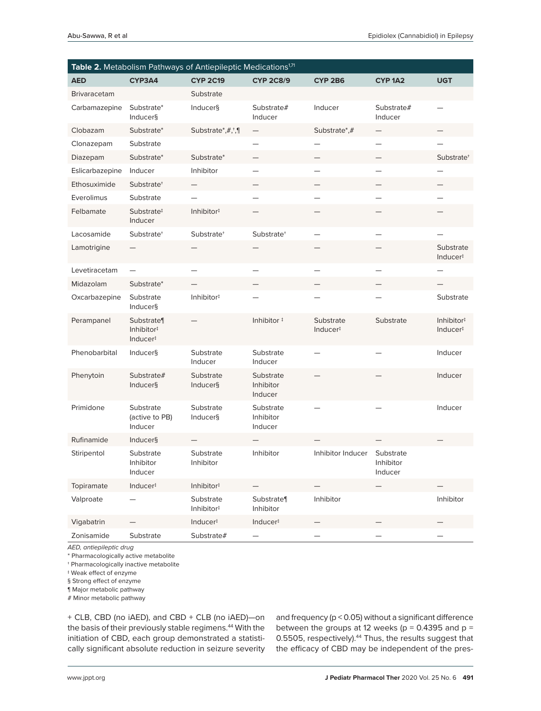| Table 2. Metabolism Pathways of Antiepileptic Medications <sup>1,71</sup> |                                        |                                     |                                   |                                   |                                   |                                    |
|---------------------------------------------------------------------------|----------------------------------------|-------------------------------------|-----------------------------------|-----------------------------------|-----------------------------------|------------------------------------|
| <b>AED</b>                                                                | CYP3A4                                 | <b>CYP 2C19</b>                     | <b>CYP 2C8/9</b>                  | <b>CYP 2B6</b>                    | CYP <sub>1A2</sub>                | <b>UGT</b>                         |
| <b>Brivaracetam</b>                                                       |                                        | Substrate                           |                                   |                                   |                                   |                                    |
| Carbamazepine                                                             | Substrate*<br>Inducer§                 | Inducer§                            | Substrate#<br>Inducer             | Inducer                           | Substrate#<br>Inducer             |                                    |
| Clobazam                                                                  | Substrate*                             | Substrate*,#,*,¶                    | $\overline{\phantom{0}}$          | Substrate*,#                      |                                   |                                    |
| Clonazepam                                                                | Substrate                              |                                     |                                   |                                   |                                   |                                    |
| Diazepam                                                                  | Substrate*                             | Substrate*                          | $\overline{\phantom{0}}$          |                                   |                                   | Substrate <sup>+</sup>             |
| Eslicarbazepine                                                           | Inducer                                | Inhibitor                           | —                                 |                                   |                                   |                                    |
| Ethosuximide                                                              | Substrate <sup>+</sup>                 |                                     |                                   |                                   |                                   |                                    |
| Everolimus                                                                | Substrate                              |                                     |                                   |                                   |                                   |                                    |
| Felbamate                                                                 | Substrate <sup>‡</sup><br>Inducer      | Inhibitor <sup>#</sup>              |                                   |                                   |                                   |                                    |
| Lacosamide                                                                | Substrate <sup>+</sup>                 | Substrate <sup>+</sup>              | Substrate <sup>+</sup>            |                                   |                                   |                                    |
| Lamotrigine                                                               |                                        |                                     |                                   |                                   |                                   | Substrate<br>Inducer#              |
| Levetiracetam                                                             |                                        |                                     |                                   |                                   |                                   |                                    |
| Midazolam                                                                 | Substrate*                             |                                     |                                   |                                   |                                   |                                    |
| Oxcarbazepine                                                             | Substrate<br><b>Inducer</b> §          | Inhibitor#                          |                                   |                                   |                                   | Substrate                          |
| Perampanel                                                                | Substrate<br>Inhibitor#<br>Inducer#    |                                     | Inhibitor <sup>#</sup>            | Substrate<br>Inducer <sup>#</sup> | Substrate                         | Inhibitor <sup>#</sup><br>Inducer# |
| Phenobarbital                                                             | Inducer§                               | Substrate<br>Inducer                | Substrate<br>Inducer              |                                   |                                   | Inducer                            |
| Phenytoin                                                                 | Substrate#<br><b>Inducer</b> §         | Substrate<br><b>Inducer</b> §       | Substrate<br>Inhibitor<br>Inducer |                                   |                                   | Inducer                            |
| Primidone                                                                 | Substrate<br>(active to PB)<br>Inducer | Substrate<br><b>Inducer</b> §       | Substrate<br>Inhibitor<br>Inducer |                                   |                                   | Inducer                            |
| Rufinamide                                                                | <b>Inducer</b> §                       |                                     |                                   |                                   |                                   |                                    |
| Stiripentol                                                               | Substrate<br>Inhibitor<br>Inducer      | Substrate<br>Inhibitor              | Inhibitor                         | Inhibitor Inducer                 | Substrate<br>Inhibitor<br>Inducer |                                    |
| Topiramate                                                                | Inducer <sup>#</sup>                   | Inhibitor#                          | $\overline{\phantom{0}}$          |                                   |                                   |                                    |
| Valproate                                                                 |                                        | Substrate<br>Inhibitor <sup>#</sup> | Substrate<br>Inhibitor            | Inhibitor                         |                                   | Inhibitor                          |
| Vigabatrin                                                                |                                        | Inducer#                            | Inducer#                          |                                   |                                   |                                    |
| Zonisamide                                                                | Substrate                              | Substrate#                          |                                   |                                   |                                   |                                    |

*AED, antiepileptic drug*

\* Pharmacologically active metabolite

† Pharmacologically inactive metabolite

‡ Weak effect of enzyme

§ Strong effect of enzyme

¶ Major metabolic pathway

# Minor metabolic pathway

+ CLB, CBD (no iAED), and CBD + CLB (no iAED)—on the basis of their previously stable regimens.<sup>44</sup> With the initiation of CBD, each group demonstrated a statistically significant absolute reduction in seizure severity

and frequency (p < 0.05) without a significant difference between the groups at 12 weeks ( $p = 0.4395$  and  $p =$ 0.5505, respectively).<sup>44</sup> Thus, the results suggest that the efficacy of CBD may be independent of the pres-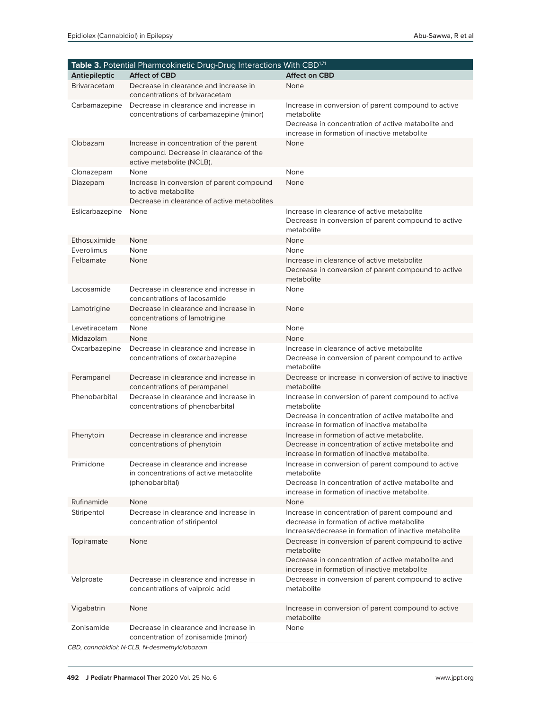| Table 3. Potential Pharmcokinetic Drug-Drug Interactions With CBD <sup>1,71</sup> |                                                                                                                  |                                                                                                                                                                          |  |  |
|-----------------------------------------------------------------------------------|------------------------------------------------------------------------------------------------------------------|--------------------------------------------------------------------------------------------------------------------------------------------------------------------------|--|--|
| <b>Antiepileptic</b>                                                              | <b>Affect of CBD</b>                                                                                             | <b>Affect on CBD</b>                                                                                                                                                     |  |  |
| <b>Brivaracetam</b>                                                               | Decrease in clearance and increase in<br>concentrations of brivaracetam                                          | None                                                                                                                                                                     |  |  |
| Carbamazepine                                                                     | Decrease in clearance and increase in<br>concentrations of carbamazepine (minor)                                 | Increase in conversion of parent compound to active<br>metabolite<br>Decrease in concentration of active metabolite and<br>increase in formation of inactive metabolite  |  |  |
| Clobazam                                                                          | Increase in concentration of the parent<br>compound. Decrease in clearance of the<br>active metabolite (NCLB).   | None                                                                                                                                                                     |  |  |
| Clonazepam                                                                        | None                                                                                                             | None                                                                                                                                                                     |  |  |
| Diazepam                                                                          | Increase in conversion of parent compound<br>to active metabolite<br>Decrease in clearance of active metabolites | None                                                                                                                                                                     |  |  |
| Eslicarbazepine                                                                   | None                                                                                                             | Increase in clearance of active metabolite<br>Decrease in conversion of parent compound to active<br>metabolite                                                          |  |  |
| Ethosuximide                                                                      | None                                                                                                             | None                                                                                                                                                                     |  |  |
| Everolimus                                                                        | None                                                                                                             | None                                                                                                                                                                     |  |  |
| Felbamate                                                                         | None                                                                                                             | Increase in clearance of active metabolite<br>Decrease in conversion of parent compound to active<br>metabolite                                                          |  |  |
| Lacosamide                                                                        | Decrease in clearance and increase in<br>concentrations of lacosamide                                            | None                                                                                                                                                                     |  |  |
| Lamotrigine                                                                       | Decrease in clearance and increase in<br>concentrations of lamotrigine                                           | None                                                                                                                                                                     |  |  |
| Levetiracetam                                                                     | None                                                                                                             | None                                                                                                                                                                     |  |  |
| Midazolam                                                                         | None                                                                                                             | None                                                                                                                                                                     |  |  |
| Oxcarbazepine                                                                     | Decrease in clearance and increase in<br>concentrations of oxcarbazepine                                         | Increase in clearance of active metabolite<br>Decrease in conversion of parent compound to active<br>metabolite                                                          |  |  |
| Perampanel                                                                        | Decrease in clearance and increase in<br>concentrations of perampanel                                            | Decrease or increase in conversion of active to inactive<br>metabolite                                                                                                   |  |  |
| Phenobarbital                                                                     | Decrease in clearance and increase in<br>concentrations of phenobarbital                                         | Increase in conversion of parent compound to active<br>metabolite<br>Decrease in concentration of active metabolite and<br>increase in formation of inactive metabolite  |  |  |
| Phenytoin                                                                         | Decrease in clearance and increase<br>concentrations of phenytoin                                                | Increase in formation of active metabolite.<br>Decrease in concentration of active metabolite and<br>increase in formation of inactive metabolite.                       |  |  |
| Primidone                                                                         | Decrease in clearance and increase<br>in concentrations of active metabolite<br>(phenobarbital)                  | Increase in conversion of parent compound to active<br>metabolite<br>Decrease in concentration of active metabolite and<br>increase in formation of inactive metabolite. |  |  |
| Rufinamide                                                                        | None                                                                                                             | None                                                                                                                                                                     |  |  |
| Stiripentol                                                                       | Decrease in clearance and increase in<br>concentration of stiripentol                                            | Increase in concentration of parent compound and<br>decrease in formation of active metabolite<br>Increase/decrease in formation of inactive metabolite                  |  |  |
| Topiramate                                                                        | None                                                                                                             | Decrease in conversion of parent compound to active<br>metabolite<br>Decrease in concentration of active metabolite and<br>increase in formation of inactive metabolite  |  |  |
| Valproate                                                                         | Decrease in clearance and increase in<br>concentrations of valproic acid                                         | Decrease in conversion of parent compound to active<br>metabolite                                                                                                        |  |  |
| Vigabatrin                                                                        | None                                                                                                             | Increase in conversion of parent compound to active<br>metabolite                                                                                                        |  |  |
| Zonisamide                                                                        | Decrease in clearance and increase in<br>concentration of zonisamide (minor)                                     | None                                                                                                                                                                     |  |  |
|                                                                                   | CBD, cannabidiol; N-CLB, N-desmethylclobazam                                                                     |                                                                                                                                                                          |  |  |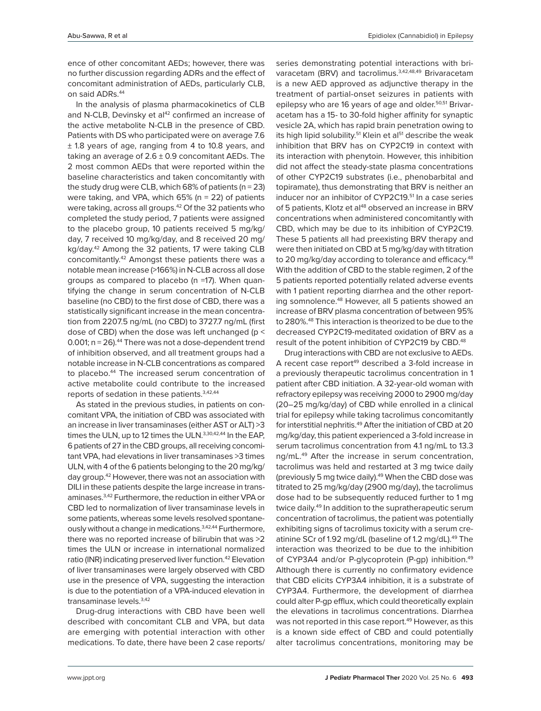ence of other concomitant AEDs; however, there was no further discussion regarding ADRs and the effect of concomitant administration of AEDs, particularly CLB, on said ADRs.<sup>44</sup>

In the analysis of plasma pharmacokinetics of CLB and N-CLB, Devinsky et al<sup>42</sup> confirmed an increase of the active metabolite N-CLB in the presence of CBD. Patients with DS who participated were on average 7.6 ± 1.8 years of age, ranging from 4 to 10.8 years, and taking an average of  $2.6 \pm 0.9$  concomitant AEDs. The 2 most common AEDs that were reported within the baseline characteristics and taken concomitantly with the study drug were CLB, which  $68\%$  of patients (n = 23) were taking, and VPA, which  $65\%$  (n = 22) of patients were taking, across all groups.42 Of the 32 patients who completed the study period, 7 patients were assigned to the placebo group, 10 patients received 5 mg/kg/ day, 7 received 10 mg/kg/day, and 8 received 20 mg/ kg/day.42 Among the 32 patients, 17 were taking CLB concomitantly.42 Amongst these patients there was a notable mean increase (>166%) in N-CLB across all dose groups as compared to placebo (n =17). When quantifying the change in serum concentration of N-CLB baseline (no CBD) to the first dose of CBD, there was a statistically significant increase in the mean concentration from 2207.5 ng/mL (no CBD) to 3727.7 ng/mL (first dose of CBD) when the dose was left unchanged (p < 0.001;  $n = 26$ ). $44$  There was not a dose-dependent trend of inhibition observed, and all treatment groups had a notable increase in N-CLB concentrations as compared to placebo.<sup>44</sup> The increased serum concentration of active metabolite could contribute to the increased reports of sedation in these patients.3,42,44

As stated in the previous studies, in patients on concomitant VPA, the initiation of CBD was associated with an increase in liver transaminases (either AST or ALT) >3 times the ULN, up to 12 times the ULN.<sup>3,30,42,44</sup> In the EAP, 6 patients of 27 in the CBD groups, all receiving concomitant VPA, had elevations in liver transaminases >3 times ULN, with 4 of the 6 patients belonging to the 20 mg/kg/ day group.42 However, there was not an association with DILI in these patients despite the large increase in transaminases.3,42 Furthermore, the reduction in either VPA or CBD led to normalization of liver transaminase levels in some patients, whereas some levels resolved spontaneously without a change in medications.3,42,44 Furthermore, there was no reported increase of bilirubin that was >2 times the ULN or increase in international normalized ratio (INR) indicating preserved liver function.<sup>42</sup> Elevation of liver transaminases were largely observed with CBD use in the presence of VPA, suggesting the interaction is due to the potentiation of a VPA-induced elevation in transaminase levels.3,42

Drug-drug interactions with CBD have been well described with concomitant CLB and VPA, but data are emerging with potential interaction with other medications. To date, there have been 2 case reports/

series demonstrating potential interactions with brivaracetam (BRV) and tacrolimus.<sup>3,42,48,49</sup> Brivaracetam is a new AED approved as adjunctive therapy in the treatment of partial-onset seizures in patients with epilepsy who are 16 years of age and older.<sup>50,51</sup> Brivaracetam has a 15- to 30-fold higher affinity for synaptic vesicle 2A, which has rapid brain penetration owing to its high lipid solubility.<sup>51</sup> Klein et al<sup>51</sup> describe the weak inhibition that BRV has on CYP2C19 in context with its interaction with phenytoin. However, this inhibition did not affect the steady-state plasma concentrations of other CYP2C19 substrates (i.e., phenobarbital and topiramate), thus demonstrating that BRV is neither an inducer nor an inhibitor of CYP2C19.<sup>51</sup> In a case series of 5 patients, Klotz et al<sup>48</sup> observed an increase in BRV concentrations when administered concomitantly with CBD, which may be due to its inhibition of CYP2C19. These 5 patients all had preexisting BRV therapy and were then initiated on CBD at 5 mg/kg/day with titration to 20 mg/kg/day according to tolerance and efficacy.<sup>48</sup> With the addition of CBD to the stable regimen, 2 of the 5 patients reported potentially related adverse events with 1 patient reporting diarrhea and the other reporting somnolence.48 However, all 5 patients showed an increase of BRV plasma concentration of between 95% to 280%.<sup>48</sup> This interaction is theorized to be due to the decreased CYP2C19-meditated oxidation of BRV as a result of the potent inhibition of CYP2C19 by CBD.<sup>48</sup>

Drug interactions with CBD are not exclusive to AEDs. A recent case report<sup>49</sup> described a 3-fold increase in a previously therapeutic tacrolimus concentration in 1 patient after CBD initiation. A 32-year-old woman with refractory epilepsy was receiving 2000 to 2900 mg/day (20–25 mg/kg/day) of CBD while enrolled in a clinical trial for epilepsy while taking tacrolimus concomitantly for interstitial nephritis.<sup>49</sup> After the initiation of CBD at 20 mg/kg/day, this patient experienced a 3-fold increase in serum tacrolimus concentration from 4.1 ng/mL to 13.3 ng/mL.49 After the increase in serum concentration, tacrolimus was held and restarted at 3 mg twice daily (previously 5 mg twice daily).<sup>49</sup> When the CBD dose was titrated to 25 mg/kg/day (2900 mg/day), the tacrolimus dose had to be subsequently reduced further to 1 mg twice daily.<sup>49</sup> In addition to the supratherapeutic serum concentration of tacrolimus, the patient was potentially exhibiting signs of tacrolimus toxicity with a serum creatinine SCr of 1.92 mg/dL (baseline of 1.2 mg/dL).<sup>49</sup> The interaction was theorized to be due to the inhibition of CYP3A4 and/or P-glycoprotein (P-gp) inhibition.<sup>49</sup> Although there is currently no confirmatory evidence that CBD elicits CYP3A4 inhibition, it is a substrate of CYP3A4. Furthermore, the development of diarrhea could alter P-gp efflux, which could theoretically explain the elevations in tacrolimus concentrations. Diarrhea was not reported in this case report.<sup>49</sup> However, as this is a known side effect of CBD and could potentially alter tacrolimus concentrations, monitoring may be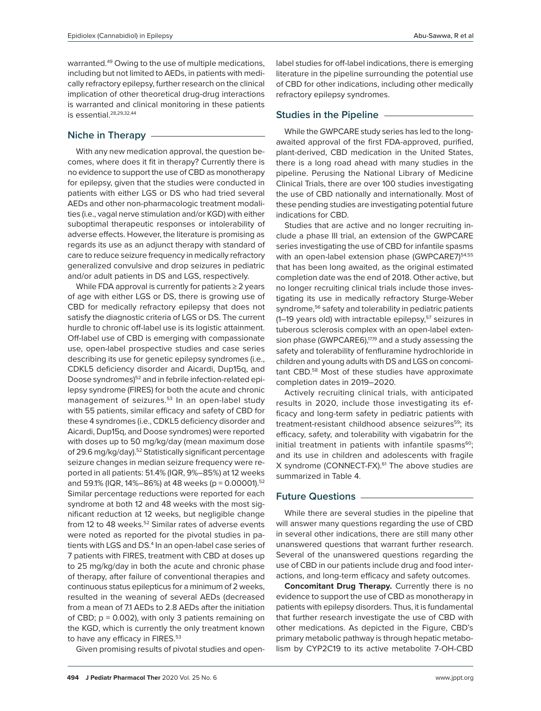warranted.49 Owing to the use of multiple medications, including but not limited to AEDs, in patients with medically refractory epilepsy, further research on the clinical implication of other theoretical drug-drug interactions is warranted and clinical monitoring in these patients is essential.28,29,32,44

### **Niche in Therapy**

With any new medication approval, the question becomes, where does it fit in therapy? Currently there is no evidence to support the use of CBD as monotherapy for epilepsy, given that the studies were conducted in patients with either LGS or DS who had tried several AEDs and other non-pharmacologic treatment modalities (i.e., vagal nerve stimulation and/or KGD) with either suboptimal therapeutic responses or intolerability of adverse effects. However, the literature is promising as regards its use as an adjunct therapy with standard of care to reduce seizure frequency in medically refractory generalized convulsive and drop seizures in pediatric and/or adult patients in DS and LGS, respectively.

While FDA approval is currently for patients ≥ 2 years of age with either LGS or DS, there is growing use of CBD for medically refractory epilepsy that does not satisfy the diagnostic criteria of LGS or DS. The current hurdle to chronic off-label use is its logistic attainment. Off-label use of CBD is emerging with compassionate use, open-label prospective studies and case series describing its use for genetic epilepsy syndromes (i.e., CDKL5 deficiency disorder and Aicardi, Dup15q, and Doose syndromes)<sup>52</sup> and in febrile infection-related epilepsy syndrome (FIRES) for both the acute and chronic management of seizures.<sup>53</sup> In an open-label study with 55 patients, similar efficacy and safety of CBD for these 4 syndromes (i.e., CDKL5 deficiency disorder and Aicardi, Dup15q, and Doose syndromes) were reported with doses up to 50 mg/kg/day (mean maximum dose of 29.6 mg/kg/day).52 Statistically significant percentage seizure changes in median seizure frequency were reported in all patients: 51.4% (IQR, 9%–85%) at 12 weeks and 59.1% (IQR, 14%–86%) at 48 weeks (p = 0.00001).<sup>52</sup> Similar percentage reductions were reported for each syndrome at both 12 and 48 weeks with the most significant reduction at 12 weeks, but negligible change from 12 to 48 weeks.<sup>52</sup> Similar rates of adverse events were noted as reported for the pivotal studies in patients with LGS and DS.4 In an open-label case series of 7 patients with FIRES, treatment with CBD at doses up to 25 mg/kg/day in both the acute and chronic phase of therapy, after failure of conventional therapies and continuous status epilepticus for a minimum of 2 weeks, resulted in the weaning of several AEDs (decreased from a mean of 7.1 AEDs to 2.8 AEDs after the initiation of CBD;  $p = 0.002$ ), with only 3 patients remaining on the KGD, which is currently the only treatment known to have any efficacy in FIRES.<sup>53</sup>

Given promising results of pivotal studies and open-

label studies for off-label indications, there is emerging literature in the pipeline surrounding the potential use of CBD for other indications, including other medically refractory epilepsy syndromes.

#### **Studies in the Pipeline**

While the GWPCARE study series has led to the longawaited approval of the first FDA-approved, purified, plant-derived, CBD medication in the United States, there is a long road ahead with many studies in the pipeline. Perusing the National Library of Medicine Clinical Trials, there are over 100 studies investigating the use of CBD nationally and internationally. Most of these pending studies are investigating potential future indications for CBD.

Studies that are active and no longer recruiting include a phase III trial, an extension of the GWPCARE series investigating the use of CBD for infantile spasms with an open-label extension phase (GWPCARE7)<sup>54,55</sup> that has been long awaited, as the original estimated completion date was the end of 2018. Other active, but no longer recruiting clinical trials include those investigating its use in medically refractory Sturge-Weber syndrome,<sup>56</sup> safety and tolerability in pediatric patients  $(1-19)$  years old) with intractable epilepsy,<sup>57</sup> seizures in tuberous sclerosis complex with an open-label extension phase (GWPCARE6),<sup>17,19</sup> and a study assessing the safety and tolerability of fenfluramine hydrochloride in children and young adults with DS and LGS on concomitant CBD.<sup>58</sup> Most of these studies have approximate completion dates in 2019–2020.

Actively recruiting clinical trials, with anticipated results in 2020, include those investigating its efficacy and long-term safety in pediatric patients with treatment-resistant childhood absence seizures<sup>59</sup>; its efficacy, safety, and tolerability with vigabatrin for the initial treatment in patients with infantile spasms $60$ ; and its use in children and adolescents with fragile X syndrome (CONNECT-FX).<sup>61</sup> The above studies are summarized in Table 4.

#### **Future Questions**

While there are several studies in the pipeline that will answer many questions regarding the use of CBD in several other indications, there are still many other unanswered questions that warrant further research. Several of the unanswered questions regarding the use of CBD in our patients include drug and food interactions, and long-term efficacy and safety outcomes.

**Concomitant Drug Therapy***.* Currently there is no evidence to support the use of CBD as monotherapy in patients with epilepsy disorders. Thus, it is fundamental that further research investigate the use of CBD with other medications. As depicted in the Figure, CBD's primary metabolic pathway is through hepatic metabolism by CYP2C19 to its active metabolite 7-OH-CBD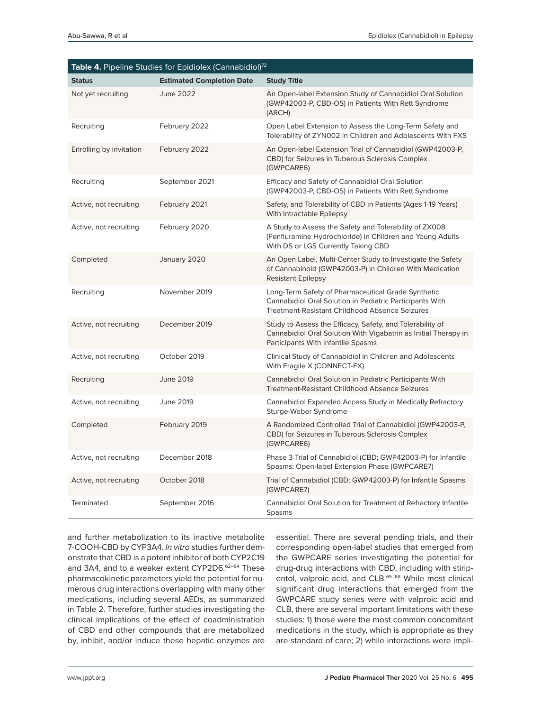| Table 4. Pipeline Studies for Epidiolex (Cannabidiol) <sup>72</sup> |                                  |                                                                                                                                                                    |  |  |
|---------------------------------------------------------------------|----------------------------------|--------------------------------------------------------------------------------------------------------------------------------------------------------------------|--|--|
| <b>Status</b>                                                       | <b>Estimated Completion Date</b> | <b>Study Title</b>                                                                                                                                                 |  |  |
| Not yet recruiting                                                  | June 2022                        | An Open-label Extension Study of Cannabidiol Oral Solution<br>(GWP42003-P, CBD-OS) in Patients With Rett Syndrome<br>(ARCH)                                        |  |  |
| Recruiting                                                          | February 2022                    | Open Label Extension to Assess the Long-Term Safety and<br>Tolerability of ZYN002 in Children and Adolescents With FXS                                             |  |  |
| Enrolling by invitation                                             | February 2022                    | An Open-label Extension Trial of Cannabidiol (GWP42003-P,<br>CBD) for Seizures in Tuberous Sclerosis Complex<br>(GWPCARE6)                                         |  |  |
| Recruiting                                                          | September 2021                   | Efficacy and Safety of Cannabidiol Oral Solution<br>(GWP42003-P, CBD-OS) in Patients With Rett Syndrome                                                            |  |  |
| Active, not recruiting                                              | February 2021                    | Safety, and Tolerability of CBD in Patients (Ages 1-19 Years)<br>With Intractable Epilepsy                                                                         |  |  |
| Active, not recruiting                                              | February 2020                    | A Study to Assess the Safety and Tolerability of ZX008<br>(Fenfluramine Hydrochloride) in Children and Young Adults<br>With DS or LGS Currently Taking CBD         |  |  |
| Completed                                                           | January 2020                     | An Open Label, Multi-Center Study to Investigate the Safety<br>of Cannabinoid (GWP42003-P) in Children With Medication<br><b>Resistant Epilepsy</b>                |  |  |
| Recruiting                                                          | November 2019                    | Long-Term Safety of Pharmaceutical Grade Synthetic<br>Cannabidiol Oral Solution in Pediatric Participants With<br>Treatment-Resistant Childhood Absence Seizures   |  |  |
| Active, not recruiting                                              | December 2019                    | Study to Assess the Efficacy, Safety, and Tolerability of<br>Cannabidiol Oral Solution With Vigabatrin as Initial Therapy in<br>Participants With Infantile Spasms |  |  |
| Active, not recruiting                                              | October 2019                     | Clinical Study of Cannabidiol in Children and Adolescents<br>With Fragile X (CONNECT-FX)                                                                           |  |  |
| Recruiting                                                          | <b>June 2019</b>                 | Cannabidiol Oral Solution in Pediatric Participants With<br>Treatment-Resistant Childhood Absence Seizures                                                         |  |  |
| Active, not recruiting                                              | June 2019                        | Cannabidiol Expanded Access Study in Medically Refractory<br>Sturge-Weber Syndrome                                                                                 |  |  |
| Completed                                                           | February 2019                    | A Randomized Controlled Trial of Cannabidiol (GWP42003-P,<br>CBD) for Seizures in Tuberous Sclerosis Complex<br>(GWPCARE6)                                         |  |  |
| Active, not recruiting                                              | December 2018                    | Phase 3 Trial of Cannabidiol (CBD; GWP42003-P) for Infantile<br>Spasms: Open-label Extension Phase (GWPCARE7)                                                      |  |  |
| Active, not recruiting                                              | October 2018                     | Trial of Cannabidiol (CBD; GWP42003-P) for Infantile Spasms<br>(GWPCARE7)                                                                                          |  |  |
| <b>Terminated</b>                                                   | September 2016                   | Cannabidiol Oral Solution for Treatment of Refractory Infantile<br>Spasms                                                                                          |  |  |

and further metabolization to its inactive metabolite 7-COOH-CBD by CYP3A4. *In vitro* studies further demonstrate that CBD is a potent inhibitor of both CYP2C19 and 3A4, and to a weaker extent CYP2D6.<sup>62-64</sup> These pharmacokinetic parameters yield the potential for numerous drug interactions overlapping with many other medications, including several AEDs, as summarized in Table 2. Therefore, further studies investigating the clinical implications of the effect of coadministration of CBD and other compounds that are metabolized by, inhibit, and/or induce these hepatic enzymes are

essential. There are several pending trials, and their corresponding open-label studies that emerged from the GWPCARE series investigating the potential for drug-drug interactions with CBD, including with stiripentol, valproic acid, and CLB.<sup>65-68</sup> While most clinical significant drug interactions that emerged from the GWPCARE study series were with valproic acid and CLB, there are several important limitations with these studies: 1) those were the most common concomitant medications in the study, which is appropriate as they are standard of care; 2) while interactions were impli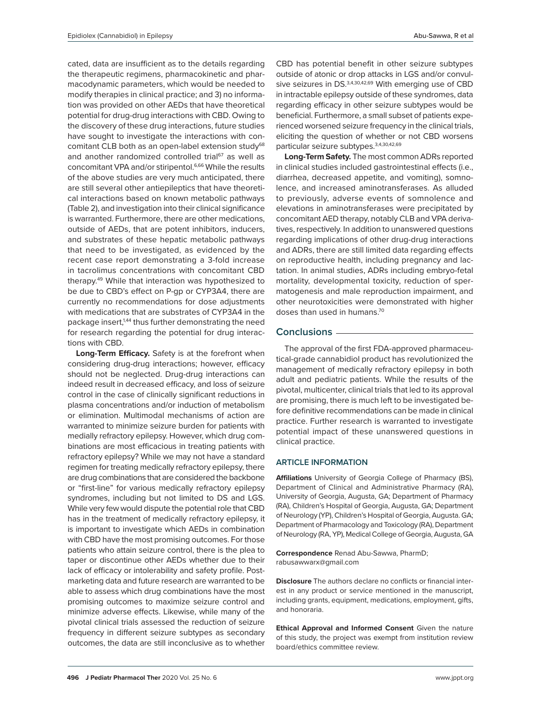cated, data are insufficient as to the details regarding the therapeutic regimens, pharmacokinetic and pharmacodynamic parameters, which would be needed to modify therapies in clinical practice; and 3) no information was provided on other AEDs that have theoretical potential for drug-drug interactions with CBD. Owing to the discovery of these drug interactions, future studies have sought to investigate the interactions with concomitant CLB both as an open-label extension study<sup>68</sup> and another randomized controlled trial<sup>67</sup> as well as concomitant VPA and/or stiripentol.<sup>6,66</sup> While the results of the above studies are very much anticipated, there are still several other antiepileptics that have theoretical interactions based on known metabolic pathways

(Table 2), and investigation into their clinical significance is warranted. Furthermore, there are other medications, outside of AEDs, that are potent inhibitors, inducers, and substrates of these hepatic metabolic pathways that need to be investigated, as evidenced by the recent case report demonstrating a 3-fold increase in tacrolimus concentrations with concomitant CBD therapy.49 While that interaction was hypothesized to be due to CBD's effect on P-gp or CYP3A4, there are currently no recommendations for dose adjustments with medications that are substrates of CYP3A4 in the package insert,<sup>1,44</sup> thus further demonstrating the need for research regarding the potential for drug interactions with CBD.

**Long-Term Efficacy.** Safety is at the forefront when considering drug-drug interactions; however, efficacy should not be neglected. Drug-drug interactions can indeed result in decreased efficacy, and loss of seizure control in the case of clinically significant reductions in plasma concentrations and/or induction of metabolism or elimination. Multimodal mechanisms of action are warranted to minimize seizure burden for patients with medially refractory epilepsy. However, which drug combinations are most efficacious in treating patients with refractory epilepsy? While we may not have a standard regimen for treating medically refractory epilepsy, there are drug combinations that are considered the backbone or "first-line" for various medically refractory epilepsy syndromes, including but not limited to DS and LGS. While very few would dispute the potential role that CBD has in the treatment of medically refractory epilepsy, it is important to investigate which AEDs in combination with CBD have the most promising outcomes. For those patients who attain seizure control, there is the plea to taper or discontinue other AEDs whether due to their lack of efficacy or intolerability and safety profile. Postmarketing data and future research are warranted to be able to assess which drug combinations have the most promising outcomes to maximize seizure control and minimize adverse effects. Likewise, while many of the pivotal clinical trials assessed the reduction of seizure frequency in different seizure subtypes as secondary outcomes, the data are still inconclusive as to whether

**496 J Pediatr Pharmacol Ther** 2020 Vol. 25 No. 6 www.jppt.org

CBD has potential benefit in other seizure subtypes outside of atonic or drop attacks in LGS and/or convulsive seizures in DS.<sup>3,4,30,42,69</sup> With emerging use of CBD in intractable epilepsy outside of these syndromes, data regarding efficacy in other seizure subtypes would be beneficial. Furthermore, a small subset of patients experienced worsened seizure frequency in the clinical trials, eliciting the question of whether or not CBD worsens particular seizure subtypes.3,4,30,42,69

**Long-Term Safety.** The most common ADRs reported in clinical studies included gastrointestinal effects (i.e., diarrhea, decreased appetite, and vomiting), somnolence, and increased aminotransferases. As alluded to previously, adverse events of somnolence and elevations in aminotransferases were precipitated by concomitant AED therapy, notably CLB and VPA derivatives, respectively. In addition to unanswered questions regarding implications of other drug-drug interactions and ADRs, there are still limited data regarding effects on reproductive health, including pregnancy and lactation. In animal studies, ADRs including embryo-fetal mortality, developmental toxicity, reduction of spermatogenesis and male reproduction impairment, and other neurotoxicities were demonstrated with higher doses than used in humans.70

# **Conclusions**

The approval of the first FDA-approved pharmaceutical-grade cannabidiol product has revolutionized the management of medically refractory epilepsy in both adult and pediatric patients. While the results of the pivotal, multicenter, clinical trials that led to its approval are promising, there is much left to be investigated before definitive recommendations can be made in clinical practice. Further research is warranted to investigate potential impact of these unanswered questions in clinical practice.

## **ARTICLE INFORMATION**

**Affiliations** University of Georgia College of Pharmacy (BS), Department of Clinical and Administrative Pharmacy (RA), University of Georgia, Augusta, GA; Department of Pharmacy (RA), Children's Hospital of Georgia, Augusta, GA; Department of Neurology (YP), Children's Hospital of Georgia, Augusta. GA; Department of Pharmacology and Toxicology (RA), Department of Neurology (RA, YP), Medical College of Georgia, Augusta, GA

**Correspondence** Renad Abu-Sawwa, PharmD; rabusawwarx@gmail.com

**Disclosure** The authors declare no conflicts or financial interest in any product or service mentioned in the manuscript, including grants, equipment, medications, employment, gifts, and honoraria.

**Ethical Approval and Informed Consent** Given the nature of this study, the project was exempt from institution review board/ethics committee review.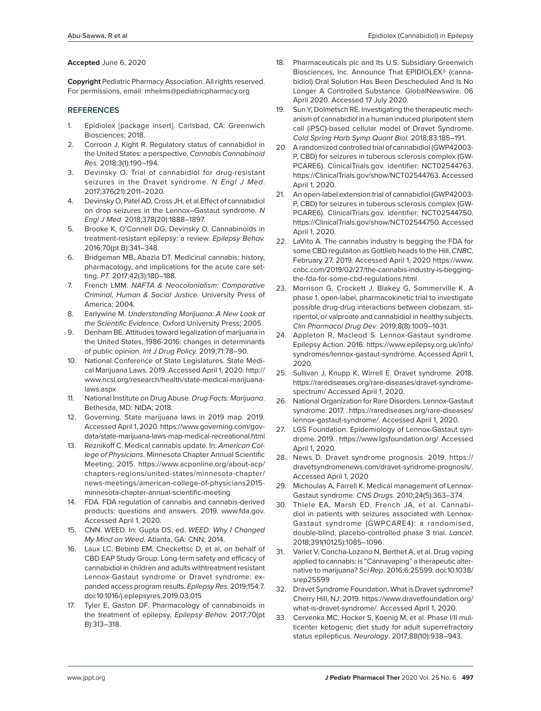#### **Accepted** June 6, 2020

**Copyright** Pediatric Pharmacy Association. All rights reserved. For permissions, email: mhelms@pediatricpharmacy.org

#### **REFERENCES**

- 1. Epidiolex [package insert]. Carlsbad, CA: Greenwich Biosciences; 2018.
- 2. Corroon J, Kight R. Regulatory status of cannabidiol in the United States: a perspective. *Cannabis Cannabinoid Res.* 2018;3(1):190–194.
- 3. Devinsky O. Trial of cannabidiol for drug-resistant seizures in the Dravet syndrome. *N Engl J Med*. 2017;376(21):2011–2020.
- 4. Devinsky O, Patel AD, Cross JH, et al.Effect of cannabidiol on drop seizures in the Lennox–Gastaut syndrome. *N Engl J Med.* 2018;378(20):1888–1897.
- 5. Brooke K, O'Connell DG, Devinsky O. Cannabinoids in treatment-resistant epilepsy: a review. *Epilepsy Behav.* 2016;70(pt B):341–348.
- 6. Bridgeman MB, Abazia DT. Medicinal cannabis: history, pharmacology, and implications for the acute care setting. *PT.* 2017;42(3):180–188.
- 7. French LMM. *NAFTA & Neocolonialism: Comparative Criminal, Human & Social Justice.* University Press of America; 2004.
- 8. Earlywine M. *Understanding Marijuana: A New Look at the Scientific Evidence.* Oxford University Press; 2005.
- 9. Denham BE. Attitudes toward legalization of marijuana in the United States, 1986-2016: changes in determinants of public opinion. *Int J Drug Policy.* 2019;71:78–90.
- 10. National Conference of State Legislatures. State Medical Marijuana Laws. 2019. Accessed April 1, 2020. http:// www.ncsl.org/research/health/state-medical-marijuanalaws.aspx
- 11. National Institute on Drug Abuse. *Drug Facts: Marijuana*. Bethesda, MD: NIDA; 2018.
- 12. Governing. State marijuana laws in 2019 map. 2019. Accessed April 1, 2020. https://www.governing.com/govdata/state-marijuana-laws-map-medical-recreational.html
- 13. Reznikoff C. Medical cannabis update. In: *American College of Physicians*. Minnesota Chapter Annual Scientific Meeting; 2015. https://www.acponline.org/about-acp/ chapters-regions/united-states/minnesota-chapter/ news-meetings/american-college-of-physicians2015 minnesota-chapter-annual-scientific-meeting
- 14. FDA. FDA regulation of cannabis and cannabis-derived products: questions and answers. 2019. www.fda.gov. Accessed April 1, 2020.
- 15. CNN. WEED. In: Gupta DS, ed. *WEED: Why I Changed My Mind on Weed*. Atlanta, GA: CNN; 2014.
- 16. Laux LC, Bebinb EM, Checkettsc D, et al, on behalf of CBD EAP Study Group. Long-term safety and efficacy of cannabidiol in children and adults withtreatment resistant Lennox-Gastaut syndrome or Dravet syndrome: expanded access program results. *Epilepsy Res.* 2019;154:7. doi:10.1016/j.eplepsyres.2019.03.015
- 17. Tyler E, Gaston DF. Pharmacology of cannabinoids in the treatment of epilepsy. *Epilepsy Behav.* 2017;70(pt B):313–318.
- 18. Pharmaceuticals plc and Its U.S. Subsidiary Greenwich Biosciences, Inc. Announce That EPIDIOLEX® (cannabidiol) Oral Solution Has Been Descheduled And Is No Longer A Controlled Substance. GlobalNewswire. 06 April 2020. Accessed 17 July 2020.
- 19. Sun Y, Dolmetsch RE. Investigating the therapeutic mechanism of cannabidiol in a human induced pluripotent stem call (iPSC)-based cellular model of Dravet Syndrome. *Cold Spring Harb Symp Quant Biol.* 2018;83:185–191.
- 20. A randomized controlled trial of cannabidiol (GWP42003- P, CBD) for seizures in tuberous sclerosis complex (GW-PCARE6). ClinicalTrials.gov. identifier: NCT02544763. https://ClinicalTrials.gov/show/NCT02544763. Accessed April 1, 2020.
- 21. An open-label extension trial of cannabidiol (GWP42003- P, CBD) for seizures in tuberous sclerosis complex (GW-PCARE6). ClinicalTrials.gov. identifier: NCT02544750. https://ClinicalTrials.gov/show/NCT02544750. Accessed April 1, 2020.
- 22. LaVito A. The cannabis industry is begging the FDA for some CBD regulaiton as Gottlieb heads to the Hill. *CNBC*. February 27, 2019. Accessed April 1, 2020 https://www. cnbc.com/2019/02/27/the-cannabis-industry-is-beggingthe-fda-for-some-cbd-regulations.html
- 23. Morrison G, Crockett J, Blakey G, Sommerville K. A phase 1, open-label, pharmacokinetic trial to investigate possible drug-drug interactions between clobazam, stiripentol, or valproate and cannabidiol in healthy subjects. *Clin Pharmacol Drug Dev*. 2019;8(8):1009–1031.
- 24. Appleton R, Macleod S. Lennox-Gastaut syndrome. Epilepsy Action. 2016. https://www.epilepsy.org.uk/info/ syndromes/lennox-gastaut-syndrome. Accessed April 1, 2020.
- 25. Sullivan J, Knupp K, Wirrell E. Dravet syndrome. 2018. https://rarediseases.org/rare-diseases/dravet-syndromespectrum/ Accessed April 1, 2020.
- 26. National Organization for Rare Disorders. Lennox-Gastaut syndrome. 2017. . https://rarediseases.org/rare-diseases/ lennox-gastaut-syndrome/. Accessed April 1, 2020.
- 27. LGS Foundation. Epidemiology of Lennox-Gastaut syndrome. 2019. . https://www.lgsfoundation.org/. Accessed April 1, 2020.
- 28. News D. Dravet syndrome prognosis. 2019. https:// dravetsyndromenews.com/dravet-syndrome-prognosis/. Accessed April 1, 2020
- 29. Michoulas A, Farrell K. Medical management of Lennox-Gastaut syndrome. *CNS Drugs.* 2010;24(5):363–374.
- 30. Thiele EA, Marsh ED, French JA, et al. Cannabidiol in patients with seizures associated with Lennox-Gastaut syndrome (GWPCARE4): a randomised, double-blind, placebo-controlled phase 3 trial. *Lancet*. 2018;391(10125):1085–1096.
- 31. Varlet V, Concha-Lozano N, Berthet A, et al. Drug vaping applied to cannabis: is "Cannavaping" a therapeutic alternative to marijuana? *Sci Rep*. 2016;6:25599. doi:10.1038/ srep25599
- 32. Dravet Syndrome Foundation. What is Dravet sydnrome? Cherry Hill, NJ: 2019. https://www.dravetfoundation.org/ what-is-dravet-syndrome/. Accessed April 1, 2020.
- 33. Cervenka MC, Hocker S, Koenig M, et al. Phase I/II multicenter ketogenic diet study for adult superrefractory status epilepticus. *Neurology*. 2017;88(10):938–943.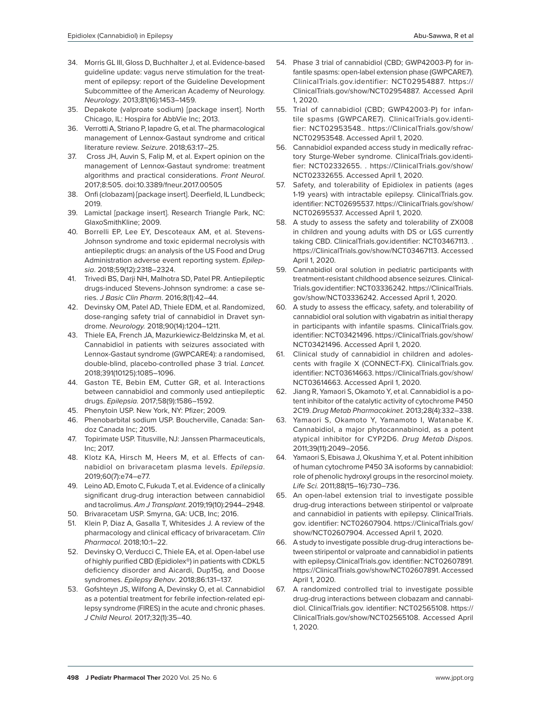- 34. Morris GL III, Gloss D, Buchhalter J, et al. Evidence-based guideline update: vagus nerve stimulation for the treatment of epilepsy: report of the Guideline Development Subcommittee of the American Academy of Neurology. *Neurology*. 2013;81(16):1453–1459.
- 35. Depakote (valproate sodium) [package insert]. North Chicago, IL: Hospira for AbbVie Inc; 2013.
- 36. Verrotti A, Striano P, Iapadre G, et al. The pharmacological management of Lennox-Gastaut syndrome and critical literature review. *Seizure*. 2018;63:17–25.
- 37. Cross JH, Auvin S, Falip M, et al. Expert opinion on the management of Lennox-Gastaut syndrome: treatment algorithms and practical considerations. *Front Neurol*. 2017;8:505. doi:10.3389/fneur.2017.00505
- 38. Onfi (clobazam) [package insert]. Deerfield, IL Lundbeck; 2019.
- 39. Lamictal [package insert]. Research Triangle Park, NC: GlaxoSmithKline; 2009.
- 40. Borrelli EP, Lee EY, Descoteaux AM, et al. Stevens-Johnson syndrome and toxic epidermal necrolysis with antiepileptic drugs: an analysis of the US Food and Drug Administration adverse event reporting system. *Epilepsia*. 2018;59(12):2318–2324.
- 41. Trivedi BS, Darji NH, Malhotra SD, Patel PR. Antiepileptic drugs-induced Stevens-Johnson syndrome: a case series. *J Basic Clin Pharm*. 2016;8(1):42–44.
- 42. Devinsky OM, Patel AD, Thiele EDM, et al. Randomized, dose-ranging safety trial of cannabidiol in Dravet syndrome. *Neurology.* 2018;90(14):1204–1211.
- 43. Thiele EA, French JA, Mazurkiewicz-Beldzinska M, et al. Cannabidiol in patients with seizures associated with Lennox-Gastaut syndrome (GWPCARE4): a randomised, double-blind, placebo-controlled phase 3 trial. *Lancet.* 2018;391(10125):1085–1096.
- 44. Gaston TE, Bebin EM, Cutter GR, et al. Interactions between cannabidiol and commonly used antiepileptic drugs. *Epilepsia.* 2017;58(9):1586–1592.
- 45. Phenytoin USP. New York, NY: Pfizer; 2009.
- 46. Phenobarbital sodium USP. Boucherville, Canada: Sandoz Canada Inc; 2015.
- 47. Topirimate USP. Titusville, NJ: Janssen Pharmaceuticals, Inc; 2017.
- 48. Klotz KA, Hirsch M, Heers M, et al. Effects of cannabidiol on brivaracetam plasma levels. *Epilepsia*. 2019;60(7):e74–e77.
- 49. Leino AD, Emoto C, Fukuda T, et al. Evidence of a clinically significant drug-drug interaction between cannabidiol and tacrolimus. *Am J Transplant*. 2019;19(10):2944–2948.
- 50. Brivaracetam USP. Smyrna, GA: UCB, Inc; 2016.
- 51. Klein P, Diaz A, Gasalla T, Whitesides J. A review of the pharmacology and clinical efficacy of brivaracetam. *Clin Pharmacol*. 2018;10:1–22.
- 52. Devinsky O, Verducci C, Thiele EA, et al. Open-label use of highly purified CBD (Epidiolex®) in patients with CDKL5 deficiency disorder and Aicardi, Dup15q, and Doose syndromes. *Epilepsy Behav*. 2018;86:131–137.
- 53. Gofshteyn JS, Wilfong A, Devinsky O, et al. Cannabidiol as a potential treatment for febrile infection-related epilepsy syndrome (FIRES) in the acute and chronic phases. *J Child Neurol.* 2017;32(1):35–40.
- 54. Phase 3 trial of cannabidiol (CBD; GWP42003-P) for infantile spasms: open-label extension phase (GWPCARE7). ClinicalTrials.gov.identifier: NCT02954887. https:// ClinicalTrials.gov/show/NCT02954887. Accessed April 1, 2020.
- 55. Trial of cannabidiol (CBD; GWP42003-P) for infantile spasms (GWPCARE7). ClinicalTrials.gov.identifier: NCT02953548.. https://ClinicalTrials.gov/show/ NCT02953548. Accessed April 1, 2020.
- 56. Cannabidiol expanded access study in medically refractory Sturge-Weber syndrome. ClinicalTrials.gov.identifier: NCT02332655. . https://ClinicalTrials.gov/show/ NCT02332655. Accessed April 1, 2020.
- 57. Safety, and tolerability of Epidiolex in patients (ages 1-19 years) with intractable epilepsy. ClinicalTrials.gov. identifier: NCT02695537. https://ClinicalTrials.gov/show/ NCT02695537. Accessed April 1, 2020.
- 58. A study to assess the safety and tolerability of ZX008 in children and young adults with DS or LGS currently taking CBD. ClinicalTrials.gov.identifier: NCT03467113. . https://ClinicalTrials.gov/show/NCT03467113. Accessed April 1, 2020.
- 59. Cannabidiol oral solution in pediatric participants with treatment-resistant childhood absence seizures. Clinical-Trials.gov.identifier: NCT03336242. https://ClinicalTrials. gov/show/NCT03336242. Accessed April 1, 2020.
- 60. A study to assess the efficacy, safety, and tolerability of cannabidiol oral solution with vigabatrin as initial therapy in participants with infantile spasms. ClinicalTrials.gov. identifier: NCT03421496. https://ClinicalTrials.gov/show/ NCT03421496. Accessed April 1, 2020.
- 61. Clinical study of cannabidiol in children and adolescents with fragile X (CONNECT-FX). ClinicalTrials.gov. identifier: NCT03614663. https://ClinicalTrials.gov/show/ NCT03614663. Accessed April 1, 2020.
- 62. Jiang R, Yamaori S, Okamoto Y, et al. Cannabidiol is a potent inhibitor of the catalytic activity of cytochrome P450 2C19. *Drug Metab Pharmacokinet.* 2013;28(4):332–338.
- 63. Yamaori S, Okamoto Y, Yamamoto I, Watanabe K. Cannabidiol, a major phytocannabinoid, as a potent atypical inhibitor for CYP2D6. *Drug Metab Dispos.* 2011;39(11):2049–2056.
- 64. Yamaori S, Ebisawa J, Okushima Y, et al. Potent inhibition of human cytochrome P450 3A isoforms by cannabidiol: role of phenolic hydroxyl groups in the resorcinol moiety. *Life Sci.* 2011;88(15–16):730–736.
- 65. An open-label extension trial to investigate possible drug-drug interactions between stiripentol or valproate and cannabidiol in patients with epilepsy. ClinicalTrials. gov. identifier: NCT02607904. https://ClinicalTrials.gov/ show/NCT02607904. Accessed April 1, 2020.
- 66. A study to investigate possible drug-drug interactions between stiripentol or valproate and cannabidiol in patients with epilepsy.ClinicalTrials.gov. identifier: NCT02607891. https://ClinicalTrials.gov/show/NCT02607891. Accessed April 1, 2020.
- 67. A randomized controlled trial to investigate possible drug-drug interactions between clobazam and cannabidiol. ClinicalTrials.gov. identifier: NCT02565108. https:// ClinicalTrials.gov/show/NCT02565108. Accessed April 1, 2020.